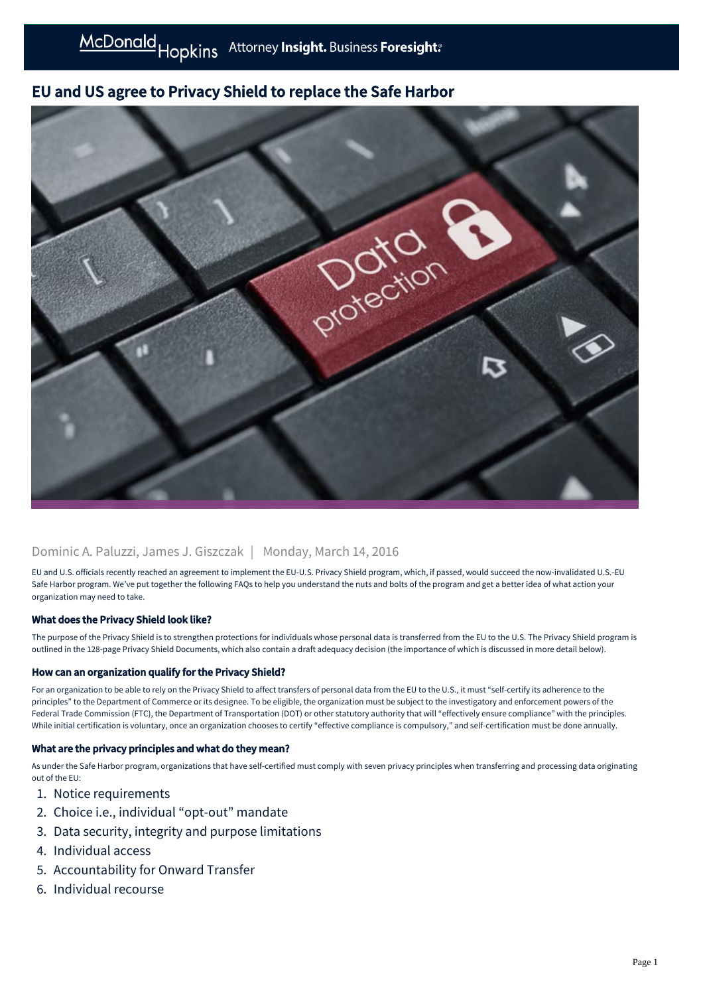# EU and US agree to Privacy Shield to replace the Safe Harbor



## Dominic A. Paluzzi, James J. Giszczak | Monday, March 14, 2016

EU and U.S. officials recently reached an agreement to implement the EU-U.S. Privacy Shield program, which, if passed, would succeed the now-invalidated U.S.-EU Safe Harbor program. We've put together the following FAQs to help you understand the nuts and bolts of the program and get a better idea of what action your organization may need to take.

## What does the Privacy Shield look like?

The purpose of the Privacy Shield is to strengthen protections for individuals whose personal data is transferred from the EU to the U.S. The Privacy Shield program is outlined in the 128-page Privacy Shield Documents, which also contain a draft adequacy decision (the importance of which is discussed in more detail below).

## How can an organization qualify for the Privacy Shield?

For an organization to be able to rely on the Privacy Shield to affect transfers of personal data from the EU to the U.S., it must "self-certify its adherence to the principles" to the Department of Commerce or its designee. To be eligible, the organization must be subject to the investigatory and enforcement powers of the Federal Trade Commission (FTC), the Department of Transportation (DOT) or other statutory authority that will "effectively ensure compliance" with the principles. While initial certification is voluntary, once an organization chooses to certify "effective compliance is compulsory," and self-certification must be done annually.

## What are the privacy principles and what do they mean?

As under the Safe Harbor program, organizations that have self-certified must comply with seven privacy principles when transferring and processing data originating out of the EU:

- 1. Notice requirements
- 2. Choice i.e., individual "opt-out" mandate
- 3. Data security, integrity and purpose limitations
- 4. Individual access
- 5. Accountability for Onward Transfer
- 6. Individual recourse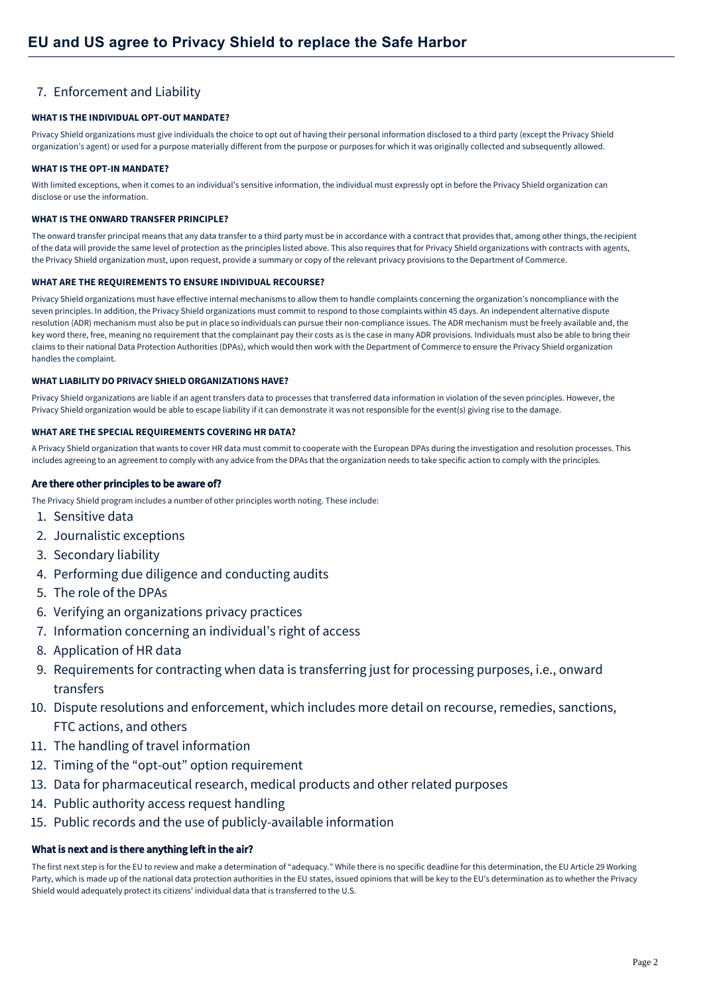## 7. Enforcement and Liability

#### **WHAT IS THE INDIVIDUAL OPT-OUT MANDATE?**

Privacy Shield organizations must give individuals the choice to opt out of having their personal information disclosed to a third party (except the Privacy Shield organization's agent) or used for a purpose materially different from the purpose or purposes for which it was originally collected and subsequently allowed.

#### **WHAT IS THE OPT-IN MANDATE?**

With limited exceptions, when it comes to an individual's sensitive information, the individual must expressly opt in before the Privacy Shield organization can disclose or use the information.

#### **WHAT IS THE ONWARD TRANSFER PRINCIPLE?**

The onward transfer principal means that any data transfer to a third party must be in accordance with a contract that provides that, among other things, the recipient of the data will provide the same level of protection as the principles listed above. This also requires that for Privacy Shield organizations with contracts with agents, the Privacy Shield organization must, upon request, provide a summary or copy of the relevant privacy provisions to the Department of Commerce.

#### **WHAT ARE THE REQUIREMENTS TO ENSURE INDIVIDUAL RECOURSE?**

Privacy Shield organizations must have effective internal mechanisms to allow them to handle complaints concerning the organization's noncompliance with the seven principles. In addition, the Privacy Shield organizations must commit to respond to those complaints within 45 days. An independent alternative dispute resolution (ADR) mechanism must also be put in place so individuals can pursue their non-compliance issues. The ADR mechanism must be freely available and, the key word there, free, meaning no requirement that the complainant pay their costs as is the case in many ADR provisions. Individuals must also be able to bring their claims to their national Data Protection Authorities (DPAs), which would then work with the Department of Commerce to ensure the Privacy Shield organization handles the complaint.

#### **WHAT LIABILITY DO PRIVACY SHIELD ORGANIZATIONS HAVE?**

Privacy Shield organizations are liable if an agent transfers data to processes that transferred data information in violation of the seven principles. However, the Privacy Shield organization would be able to escape liability if it can demonstrate it was not responsible for the event(s) giving rise to the damage.

#### **WHAT ARE THE SPECIAL REQUIREMENTS COVERING HR DATA?**

A Privacy Shield organization that wants to cover HR data must commit to cooperate with the European DPAs during the investigation and resolution processes. This includes agreeing to an agreement to comply with any advice from the DPAs that the organization needs to take specific action to comply with the principles.

#### Are there other principles to be aware of?

The Privacy Shield program includes a number of other principles worth noting. These include:

- 1. Sensitive data
- 2. Journalistic exceptions
- 3. Secondary liability
- 4. Performing due diligence and conducting audits
- 5. The role of the DPAs
- 6. Verifying an organizations privacy practices
- 7. Information concerning an individual's right of access
- 8. Application of HR data
- 9. Requirements for contracting when data is transferring just for processing purposes, i.e., onward transfers
- 10. Dispute resolutions and enforcement, which includes more detail on recourse, remedies, sanctions, FTC actions, and others
- 11. The handling of travel information
- 12. Timing of the "opt-out" option requirement
- 13. Data for pharmaceutical research, medical products and other related purposes
- 14. Public authority access request handling
- 15. Public records and the use of publicly-available information

## What is next and is there anything left in the air?

The first next step is for the EU to review and make a determination of "adequacy." While there is no specific deadline for this determination, the EU Article 29 Working Party, which is made up of the national data protection authorities in the EU states, issued opinions that will be key to the EU's determination as to whether the Privacy Shield would adequately protect its citizens' individual data that is transferred to the U.S.